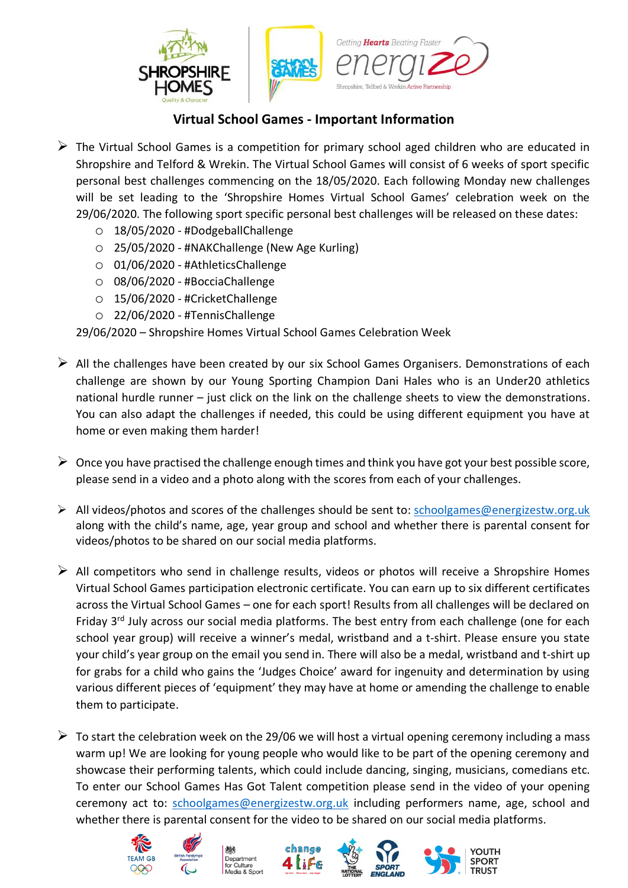

## **Virtual School Games - Important Information**

- $\triangleright$  The Virtual School Games is a competition for primary school aged children who are educated in Shropshire and Telford & Wrekin. The Virtual School Games will consist of 6 weeks of sport specific personal best challenges commencing on the 18/05/2020. Each following Monday new challenges will be set leading to the 'Shropshire Homes Virtual School Games' celebration week on the 29/06/2020. The following sport specific personal best challenges will be released on these dates:
	- o 18/05/2020 #DodgeballChallenge
	- o 25/05/2020 #NAKChallenge (New Age Kurling)
	- o 01/06/2020 #AthleticsChallenge
	- o 08/06/2020 #BocciaChallenge
	- o 15/06/2020 #CricketChallenge
	- o 22/06/2020 #TennisChallenge

29/06/2020 – Shropshire Homes Virtual School Games Celebration Week

- $\triangleright$  All the challenges have been created by our six School Games Organisers. Demonstrations of each challenge are shown by our Young Sporting Champion Dani Hales who is an Under20 athletics national hurdle runner – just click on the link on the challenge sheets to view the demonstrations. You can also adapt the challenges if needed, this could be using different equipment you have at home or even making them harder!
- $\triangleright$  Once you have practised the challenge enough times and think you have got your best possible score, please send in a video and a photo along with the scores from each of your challenges.
- ➢ All videos/photos and scores of the challenges should be sent to: [schoolgames@energizestw.org.uk](mailto:schoolgames@energizestw.org.uk) along with the child's name, age, year group and school and whether there is parental consent for videos/photos to be shared on our social media platforms.
- $\triangleright$  All competitors who send in challenge results, videos or photos will receive a Shropshire Homes Virtual School Games participation electronic certificate. You can earn up to six different certificates across the Virtual School Games – one for each sport! Results from all challenges will be declared on Friday 3<sup>rd</sup> July across our social media platforms. The best entry from each challenge (one for each school year group) will receive a winner's medal, wristband and a t-shirt. Please ensure you state your child's year group on the email you send in. There will also be a medal, wristband and t-shirt up for grabs for a child who gains the 'Judges Choice' award for ingenuity and determination by using various different pieces of 'equipment' they may have at home or amending the challenge to enable them to participate.
- $\triangleright$  To start the celebration week on the 29/06 we will host a virtual opening ceremony including a mass warm up! We are looking for young people who would like to be part of the opening ceremony and showcase their performing talents, which could include dancing, singing, musicians, comedians etc. To enter our School Games Has Got Talent competition please send in the video of your opening ceremony act to: [schoolgames@energizestw.org.uk](mailto:schoolgames@energizestw.org.uk) including performers name, age, school and whether there is parental consent for the video to be shared on our social media platforms.